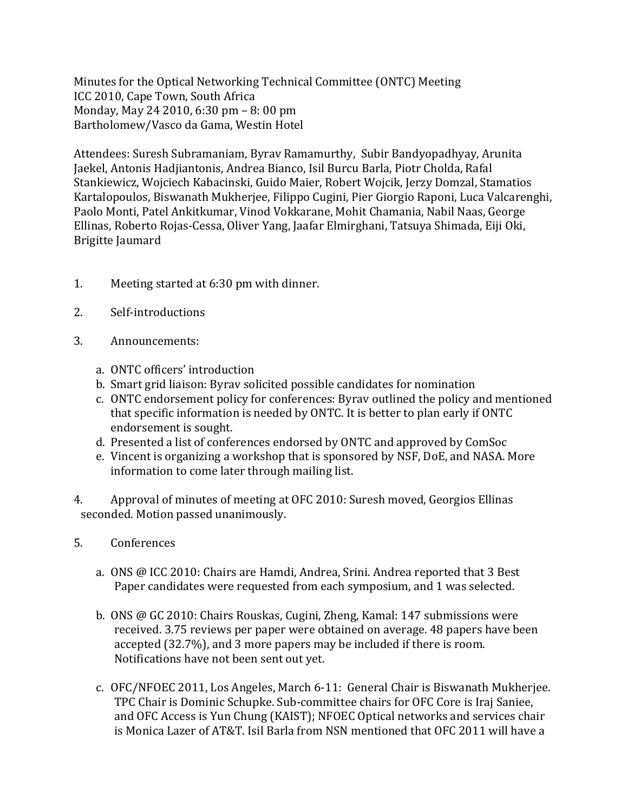Minutes for the Optical Networking Technical Committee (ONTC) Meeting ICC 2010, Cape Town, South Africa Monday, May 24 2010, 6:30 pm - 8:00 pm Bartholomew/Vasco da Gama, Westin Hotel

Attendees: Suresh Subramaniam, Byrav Ramamurthy, Subir Bandyopadhyay, Arunita Jaekel, Antonis Hadjiantonis, Andrea Bianco, Isil Burcu Barla, Piotr Cholda, Rafal Stankiewicz, Wojciech Kabacinski, Guido Maier, Robert Wojcik, Jerzy Domzal, Stamatios Kartalopoulos, Biswanath Mukherjee, Filippo Cugini, Pier Giorgio Raponi, Luca Valcarenghi, Paolo Monti, Patel Ankitkumar, Vinod Vokkarane, Mohit Chamania, Nabil Naas, George Ellinas, Roberto Rojas-Cessa, Oliver Yang, Jaafar Elmirghani, Tatsuya Shimada, Eiji Oki, Brigitte Jaumard

- 1. Meeting started at  $6:30$  pm with dinner.
- 2. Self-introductions
- 3. Announcements:
	- a. ONTC officers' introduction
	- b. Smart grid liaison: Byrav solicited possible candidates for nomination
	- c. ONTC endorsement policy for conferences: Byrav outlined the policy and mentioned that specific information is needed by ONTC. It is better to plan early if ONTC endorsement is sought.
	- d. Presented a list of conferences endorsed by ONTC and approved by ComSoc
	- e. Vincent is organizing a workshop that is sponsored by NSF, DoE, and NASA. More information to come later through mailing list.
- 4. Approval of minutes of meeting at OFC 2010: Suresh moved, Georgios Ellinas seconded. Motion passed unanimously.
- 5. Conferences
	- a. ONS @ ICC 2010: Chairs are Hamdi, Andrea, Srini. Andrea reported that 3 Best Paper candidates were requested from each symposium, and 1 was selected.
	- b. ONS @ GC 2010: Chairs Rouskas, Cugini, Zheng, Kamal:  $147$  submissions were received. 3.75 reviews per paper were obtained on average. 48 papers have been accepted (32.7%), and 3 more papers may be included if there is room. Notifications have not been sent out yet.
	- c. OFC/NFOEC 2011, Los Angeles, March 6-11: General Chair is Biswanath Mukherjee. TPC Chair is Dominic Schupke. Sub-committee chairs for OFC Core is Iraj Saniee, and OFC Access is Yun Chung (KAIST); NFOEC Optical networks and services chair is Monica Lazer of AT&T. Isil Barla from NSN mentioned that OFC 2011 will have a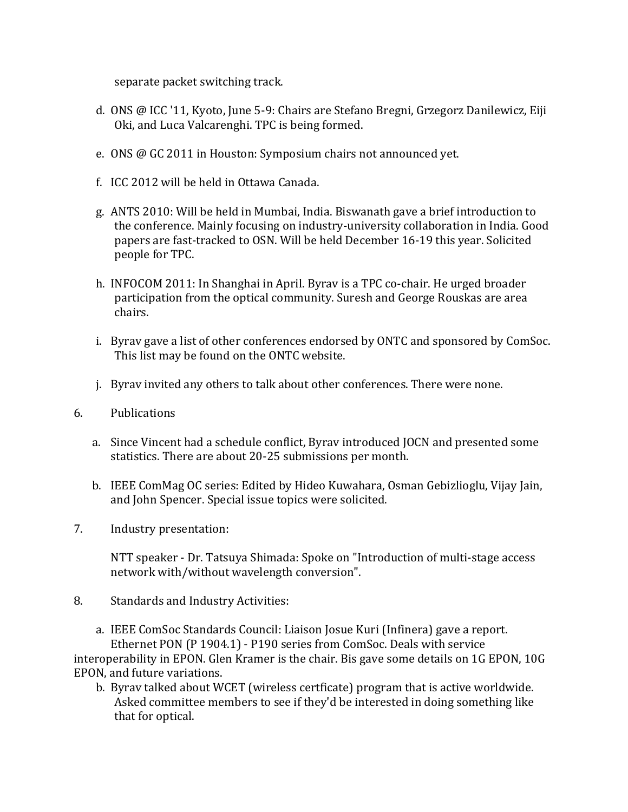separate packet switching track.

- d. ONS @ ICC '11, Kyoto, June 5-9: Chairs are Stefano Bregni, Grzegorz Danilewicz, Eiji Oki, and Luca Valcarenghi. TPC is being formed.
- e. ONS @ GC 2011 in Houston: Symposium chairs not announced yet.
- f. ICC 2012 will be held in Ottawa Canada.
- g. ANTS 2010: Will be held in Mumbai, India. Biswanath gave a brief introduction to the conference. Mainly focusing on industry-university collaboration in India. Good papers are fast-tracked to OSN. Will be held December 16-19 this year. Solicited people for TPC.
- h. INFOCOM 2011: In Shanghai in April. Byrav is a TPC co-chair. He urged broader participation from the optical community. Suresh and George Rouskas are area chairs.
- i. Byrav gave a list of other conferences endorsed by ONTC and sponsored by ComSoc. This list may be found on the ONTC website.
- j. Byrav invited any others to talk about other conferences. There were none.
- 6. Publications
	- a. Since Vincent had a schedule conflict, Byrav introduced JOCN and presented some statistics. There are about 20-25 submissions per month.
	- b. IEEE ComMag OC series: Edited by Hideo Kuwahara, Osman Gebizlioglu, Vijay Jain, and John Spencer. Special issue topics were solicited.
- 7. Industry presentation:

NTT speaker - Dr. Tatsuya Shimada: Spoke on "Introduction of multi-stage access network with/without wavelength conversion".

8. Standards and Industry Activities:

a. IEEE ComSoc Standards Council: Liaison Josue Kuri (Infinera) gave a report. Ethernet PON (P 1904.1) - P190 series from ComSoc. Deals with service interoperability in EPON. Glen Kramer is the chair. Bis gave some details on 1G EPON, 10G EPON, and future variations.

b. Byrav talked about WCET (wireless certficate) program that is active worldwide. Asked committee members to see if they'd be interested in doing something like that for optical.